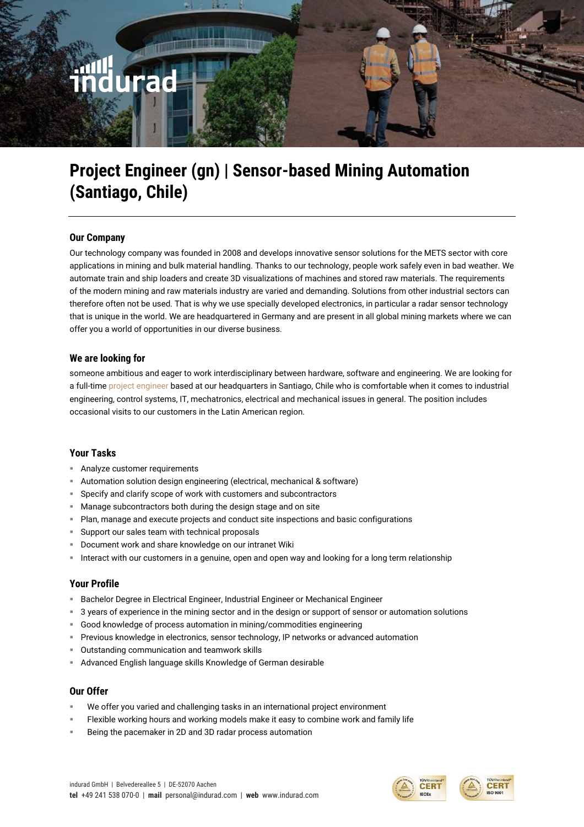# **Project Engineer (gn) | Sensor-based Mining Automation (Santiago, Chile)**

# **Our Company**

Our technology company was founded in 2008 and develops innovative sensor solutions for the METS sector with core applications in mining and bulk material handling. Thanks to our technology, people work safely even in bad weather. We automate train and ship loaders and create 3D visualizations of machines and stored raw materials. The requirements of the modern mining and raw materials industry are varied and demanding. Solutions from other industrial sectors can therefore often not be used. That is why we use specially developed electronics, in particular a radar sensor technology that is unique in the world. We are headquartered in Germany and are present in all global mining markets where we can offer you a world of opportunities in our diverse business.

# **We are looking for**

someone ambitious and eager to work interdisciplinary between hardware, software and engineering. We are looking for a full-time project engineer based at our headquarters in Santiago, Chile who is comfortable when it comes to industrial engineering, control systems, IT, mechatronics, electrical and mechanical issues in general. The position includes occasional visits to our customers in the Latin American region.

## **Your Tasks**

- **EXECUTE:** Analyze customer requirements
- **E** Automation solution design engineering (electrical, mechanical & software)
- Specify and clarify scope of work with customers and subcontractors
- Manage subcontractors both during the design stage and on site
- Plan, manage and execute projects and conduct site inspections and basic configurations
- **EX Support our sales team with technical proposals**
- Document work and share knowledge on our intranet Wiki
- Interact with our customers in a genuine, open and open way and looking for a long term relationship

## **Your Profile**

- **E** Bachelor Degree in Electrical Engineer, Industrial Engineer or Mechanical Engineer
- 3 years of experience in the mining sector and in the design or support of sensor or automation solutions
- Good knowledge of process automation in mining/commodities engineering
- Previous knowledge in electronics, sensor technology, IP networks or advanced automation
- Outstanding communication and teamwork skills
- Advanced English language skills Knowledge of German desirable

#### **Our Offer**

- We offer you varied and challenging tasks in an international project environment
- Flexible working hours and working models make it easy to combine work and family life
- Being the pacemaker in 2D and 3D radar process automation